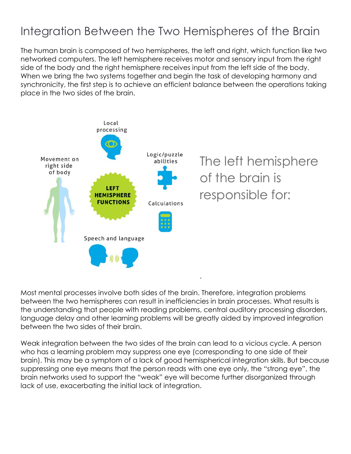## Integration Between the Two Hemispheres of the Brain

The human brain is composed of two hemispheres, the left and right, which function like two networked computers. The left hemisphere receives motor and sensory input from the right side of the body and the right hemisphere receives input from the left side of the body. When we bring the two systems together and begin the task of developing harmony and synchronicity, the first step is to achieve an efficient balance between the operations taking place in the two sides of the brain.



Most mental processes involve both sides of the brain. Therefore, integration problems between the two hemispheres can result in inefficiencies in brain processes. What results is the understanding that people with reading problems, central auditory processing disorders, language delay and other learning problems will be greatly aided by improved integration between the two sides of their brain.

Weak integration between the two sides of the brain can lead to a vicious cycle. A person who has a learning problem may suppress one eye (corresponding to one side of their brain). This may be a symptom of a lack of good hemispherical integration skills. But because suppressing one eye means that the person reads with one eye only, the "strong eye", the brain networks used to support the "weak" eye will become further disorganized through lack of use, exacerbating the initial lack of integration.